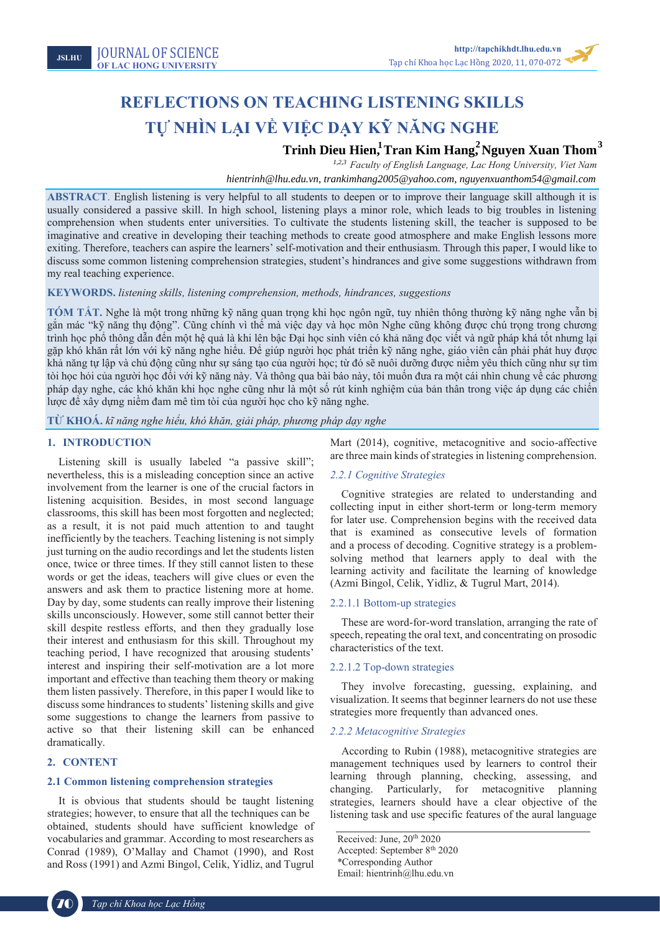Tạp chí Khoa học Lạc Hồng **2020**, x, xx-zz

# **REFLECTIONS ON TEACHING LISTENING SKILLS TỰ NHÌN LẠI VỀ VIỆC DẠY KỸ NĂNG NGHE**

**Trinh Dieu Hien, Tran Kim Hang, Nguyen Xuan Thom**<br><sup>1,2,3</sup> Faculty of English Language, Lac Hong University, Viet Nam<br>*hientrinh@lhu.edu.vn, trankimhang2005@yahoo.com, nguyenxuanthom54@gmail.com* 

*Faculty of English Language, Lac Hong University, Viet Nam* 

*hientrinh@lhu.edu.vn*

**ABSTRACT**. English listening is very helpful to all students to deepen or to improve their language skill although it is usually considered a passive skill. In high school, listening plays a minor role, which leads to big troubles in listening comprehension when students enter universities. To cultivate the students listening skill, the teacher is supposed to be imaginative and creative in developing their teaching methods to create good atmosphere and make English lessons more exiting. Therefore, teachers can aspire the learners' self-motivation and their enthusiasm. Through this paper, I would like to discuss some common listening comprehension strategies, student's hindrances and give some suggestions withdrawn from my real teaching experience.

#### **KEYWORDS.** *listening skills, listening comprehension, methods, hindrances, suggestions*

**TÓM TẮT.** Nghe là một trong những kỹ năng quan trọng khi học ngôn ngữ, tuy nhiên thông thường kỹ năng nghe vẫn bị gắn mác "kỹ năng thụ động". Cũng chính vì thế mà việc dạy và học môn Nghe cũng không được chú trọng trong chương trình học phổ thông dẫn đến một hệ quả là khi lên bậc Đại học sinh viên có khả năng đọc viết và ngữ pháp khá tốt nhưng lại gặp khó khăn rất lớn với kỹ năng nghe hiểu. Để giúp người học phát triển kỹ năng nghe, giáo viên cần phải phát huy được khả năng tự lập và chủ động cũng như sự sáng tạo của người học; từ đó sẽ nuôi dưỡng được niềm yêu thích cũng như sự tìm tòi học hỏi của người học đối với kỹ năng này. Và thông qua bài báo này, tôi muốn đưa ra một cái nhìn chung về các phương pháp dạy nghe, các khó khăn khi học nghe cũng như là một số rút kinh nghiệm của bản thân trong việc áp dụng các chiến lược để xây dựng niềm đam mê tìm tòi của người học cho kỹ năng nghe.

**TỪ KHOÁ.** *kĩ năng nghe hiểu, khó khăn, giải pháp, phương pháp dạy nghe*

## **1. INTRODUCTION**

Listening skill is usually labeled "a passive skill"; nevertheless, this is a misleading conception since an active involvement from the learner is one of the crucial factors in listening acquisition. Besides, in most second language classrooms, this skill has been most forgotten and neglected; as a result, it is not paid much attention to and taught inefficiently by the teachers. Teaching listening is not simply just turning on the audio recordings and let the students listen once, twice or three times. If they still cannot listen to these words or get the ideas, teachers will give clues or even the answers and ask them to practice listening more at home. Day by day, some students can really improve their listening skills unconsciously. However, some still cannot better their skill despite restless efforts, and then they gradually lose their interest and enthusiasm for this skill. Throughout my teaching period, I have recognized that arousing students' interest and inspiring their self-motivation are a lot more important and effective than teaching them theory or making them listen passively. Therefore, in this paper I would like to discuss some hindrances to students' listening skills and give some suggestions to change the learners from passive to active so that their listening skill can be enhanced dramatically.

## **2. CONTENT**

## **2.1 Common listening comprehension strategies**

It is obvious that students should be taught listening strategies; however, to ensure that all the techniques can be obtained, students should have sufficient knowledge of vocabularies and grammar. According to most researchers as Conrad (1989), O'Mallay and Chamot (1990), and Rost and Ross (1991) and Azmi Bingol, Celik, Yidliz, and Tugrul

Mart (2014), cognitive, metacognitive and socio-affective are three main kinds of strategies in listening comprehension.

#### *2.2.1 Cognitive Strategies*

Cognitive strategies are related to understanding and collecting input in either short-term or long-term memory for later use. Comprehension begins with the received data that is examined as consecutive levels of formation and a process of decoding. Cognitive strategy is a problemsolving method that learners apply to deal with the learning activity and facilitate the learning of knowledge (Azmi Bingol, Celik, Yidliz, & Tugrul Mart, 2014).

#### 2.2.1.1 Bottom-up strategies

These are word-for-word translation, arranging the rate of speech, repeating the oral text, and concentrating on prosodic characteristics of the text.

### 2.2.1.2 Top-down strategies

They involve forecasting, guessing, explaining, and visualization. It seems that beginner learners do not use these strategies more frequently than advanced ones.

### *2.2.2 Metacognitive Strategies*

According to Rubin (1988), metacognitive strategies are management techniques used by learners to control their learning through planning, checking, assessing, and changing. Particularly, for metacognitive planning strategies, learners should have a clear objective of the listening task and use specific features of the aural language

Received: June, 20<sup>th</sup> 2020 Accepted: September 8th 2020 \*Corresponding Author

Email: hientrinh@lhu.edu.vn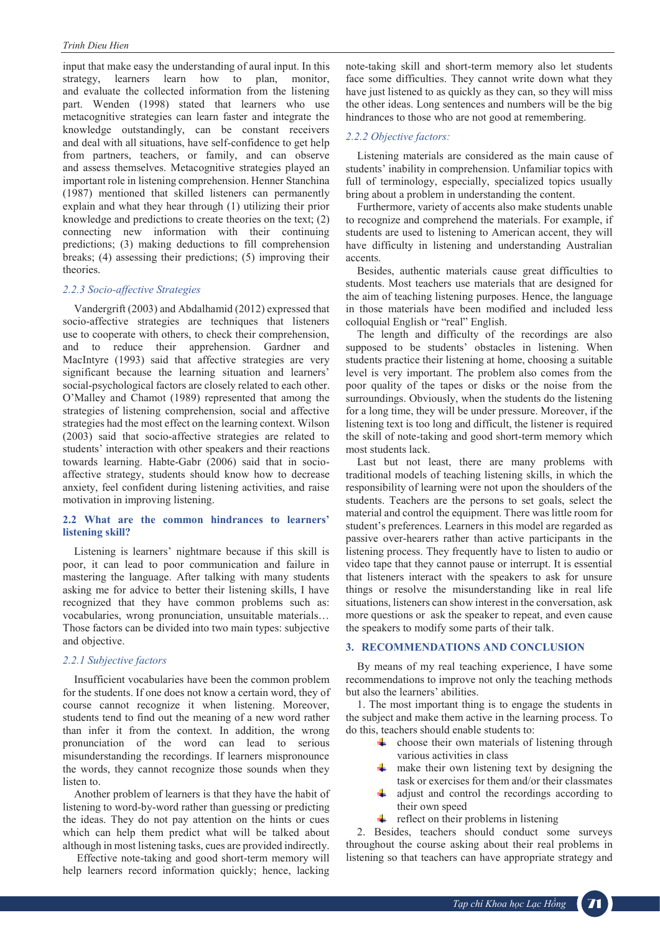input that make easy the understanding of aural input. In this strategy, learners learn how to plan, monitor, and evaluate the collected information from the listening part. Wenden (1998) stated that learners who use metacognitive strategies can learn faster and integrate the knowledge outstandingly, can be constant receivers and deal with all situations, have self-confidence to get help from partners, teachers, or family, and can observe and assess themselves. Metacognitive strategies played an important role in listening comprehension. Henner Stanchina (1987) mentioned that skilled listeners can permanently explain and what they hear through (1) utilizing their prior knowledge and predictions to create theories on the text; (2) connecting new information with their continuing predictions; (3) making deductions to fill comprehension breaks; (4) assessing their predictions; (5) improving their theories.

#### *2.2.3 Socio-affective Strategies*

Vandergrift (2003) and Abdalhamid (2012) expressed that socio-affective strategies are techniques that listeners use to cooperate with others, to check their comprehension, and to reduce their apprehension. Gardner and MacIntyre (1993) said that affective strategies are very significant because the learning situation and learners' social-psychological factors are closely related to each other. O'Malley and Chamot (1989) represented that among the strategies of listening comprehension, social and affective strategies had the most effect on the learning context. Wilson (2003) said that socio-affective strategies are related to students' interaction with other speakers and their reactions towards learning. Habte-Gabr (2006) said that in socioaffective strategy, students should know how to decrease anxiety, feel confident during listening activities, and raise motivation in improving listening.

#### **2.2 What are the common hindrances to learners' listening skill?**

Listening is learners' nightmare because if this skill is poor, it can lead to poor communication and failure in mastering the language. After talking with many students asking me for advice to better their listening skills, I have recognized that they have common problems such as: vocabularies, wrong pronunciation, unsuitable materials… Those factors can be divided into two main types: subjective and objective.

#### *2.2.1 Subjective factors*

Insufficient vocabularies have been the common problem for the students. If one does not know a certain word, they of course cannot recognize it when listening. Moreover, students tend to find out the meaning of a new word rather than infer it from the context. In addition, the wrong pronunciation of the word can lead to serious misunderstanding the recordings. If learners mispronounce the words, they cannot recognize those sounds when they listen to.

Another problem of learners is that they have the habit of listening to word-by-word rather than guessing or predicting the ideas. They do not pay attention on the hints or cues which can help them predict what will be talked about although in most listening tasks, cues are provided indirectly.

Effective note-taking and good short-term memory will help learners record information quickly; hence, lacking note-taking skill and short-term memory also let students face some difficulties. They cannot write down what they have just listened to as quickly as they can, so they will miss the other ideas. Long sentences and numbers will be the big hindrances to those who are not good at remembering.

#### *2.2.2 Objective factors:*

Listening materials are considered as the main cause of students' inability in comprehension. Unfamiliar topics with full of terminology, especially, specialized topics usually bring about a problem in understanding the content.

Furthermore, variety of accents also make students unable to recognize and comprehend the materials. For example, if students are used to listening to American accent, they will have difficulty in listening and understanding Australian accents.

Besides, authentic materials cause great difficulties to students. Most teachers use materials that are designed for the aim of teaching listening purposes. Hence, the language in those materials have been modified and included less colloquial English or "real" English.

The length and difficulty of the recordings are also supposed to be students' obstacles in listening. When students practice their listening at home, choosing a suitable level is very important. The problem also comes from the poor quality of the tapes or disks or the noise from the surroundings. Obviously, when the students do the listening for a long time, they will be under pressure. Moreover, if the listening text is too long and difficult, the listener is required the skill of note-taking and good short-term memory which most students lack.

Last but not least, there are many problems with traditional models of teaching listening skills, in which the responsibility of learning were not upon the shoulders of the students. Teachers are the persons to set goals, select the material and control the equipment. There was little room for student's preferences. Learners in this model are regarded as passive over-hearers rather than active participants in the listening process. They frequently have to listen to audio or video tape that they cannot pause or interrupt. It is essential that listeners interact with the speakers to ask for unsure things or resolve the misunderstanding like in real life situations, listeners can show interest in the conversation, ask more questions or ask the speaker to repeat, and even cause the speakers to modify some parts of their talk.

### **3. RECOMMENDATIONS AND CONCLUSION**

By means of my real teaching experience, I have some recommendations to improve not only the teaching methods but also the learners' abilities.

1. The most important thing is to engage the students in the subject and make them active in the learning process. To do this, teachers should enable students to:

- $\downarrow$  choose their own materials of listening through various activities in class
- make their own listening text by designing the task or exercises for them and/or their classmates
- adjust and control the recordings according to their own speed
- $\blacksquare$  reflect on their problems in listening

2. Besides, teachers should conduct some surveys throughout the course asking about their real problems in listening so that teachers can have appropriate strategy and